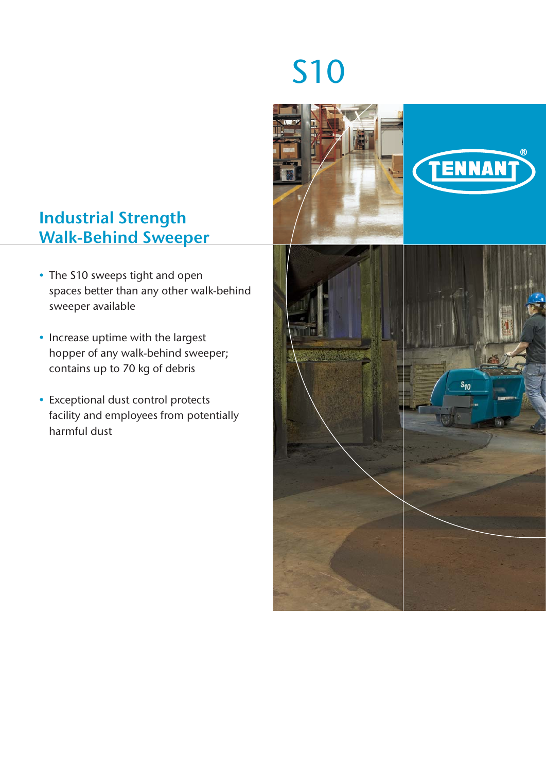# Industrial Strength Walk-Behind Sweeper

- The S10 sweeps tight and open spaces better than any other walk-behind sweeper available
- Increase uptime with the largest hopper of any walk-behind sweeper; contains up to 70 kg of debris
- Exceptional dust control protects facility and employees from potentially harmful dust

# S10



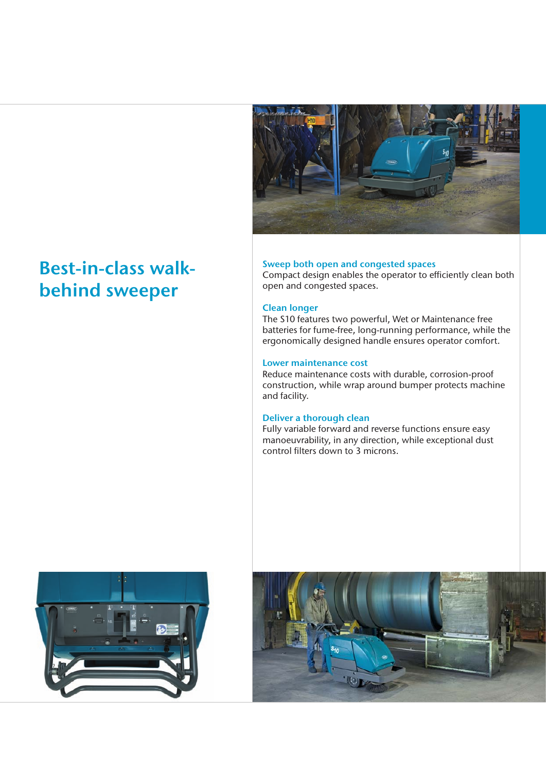

# Best-in-class walkbehind sweeper

#### Sweep both open and congested spaces

Compact design enables the operator to efficiently clean both open and congested spaces.

#### Clean longer

The S10 features two powerful, Wet or Maintenance free batteries for fume-free, long-running performance, while the ergonomically designed handle ensures operator comfort.

#### Lower maintenance cost

Reduce maintenance costs with durable, corrosion-proof construction, while wrap around bumper protects machine and facility.

#### Deliver a thorough clean

Fully variable forward and reverse functions ensure easy manoeuvrability, in any direction, while exceptional dust control filters down to 3 microns.



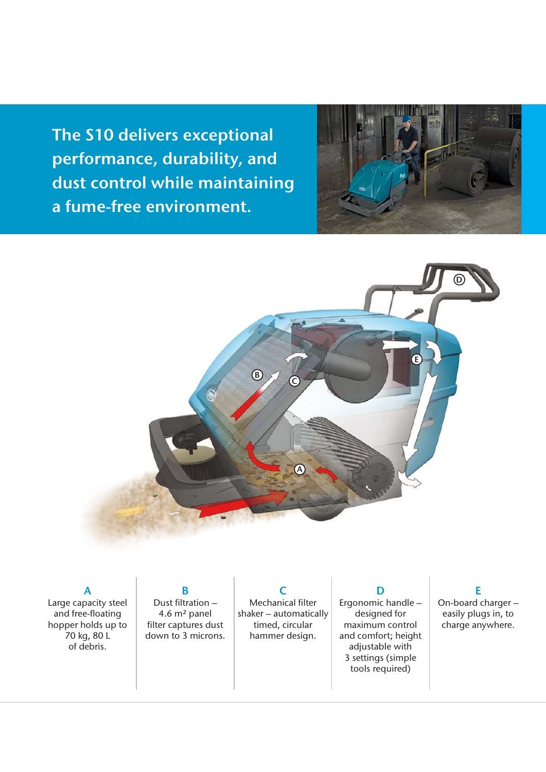The S10 delivers exceptional performance, durability, and dust control while maintaining a fume-free environment.





A Large capacity steel and free-floating hopper holds up to 70 kg, 80 L of debris.

B Dust filtration  $-$ 4.6 m² panel filter captures dust down to 3 microns.

Mechanical filter shaker – automatically timed, circular hammer design.

 $\epsilon$ 

D Ergonomic handle – designed for maximum control and comfort; height adjustable with 3 settings (simple tools required)

# E

On-board charger – easily plugs in, to charge anywhere.